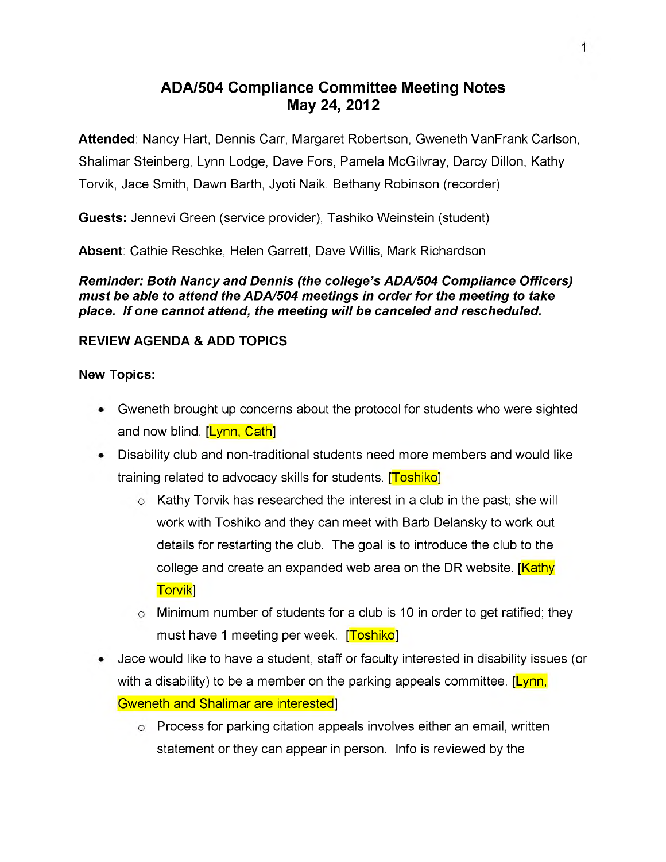# **ADA/504 Compliance Committee Meeting Notes May 24, 2012**

**Attended**: Nancy Hart, Dennis Carr, Margaret Robertson, Gweneth VanFrank Carlson, Shalimar Steinberg, Lynn Lodge, Dave Fors, Pamela McGilvray, Darcy Dillon, Kathy Torvik, Jace Smith, Dawn Barth, Jyoti Naik, Bethany Robinson (recorder)

**Guests:** Jennevi Green (service provider), Tashiko Weinstein (student)

**Absent**: Cathie Reschke, Helen Garrett, Dave Willis, Mark Richardson

*Reminder: Both Nancy and Dennis (the college's ADA/504 Compliance Officers) must be able to attend the ADA/504 meetings in order for the meeting to take place. If one cannot attend, the meeting will be canceled and rescheduled.*

# **REVIEW AGENDA & ADD TOPICS**

## **New Topics:**

- Gweneth brought up concerns about the protocol for students who were sighted and now blind. [Lynn, Cath]
- Disability club and non-traditional students need more members and would like training related to advocacy skills for students. **[Toshiko]** 
	- $\circ$  Kathy Torvik has researched the interest in a club in the past; she will work with Toshiko and they can meet with Barb Delansky to work out details for restarting the club. The goal is to introduce the club to the college and create an expanded web area on the DR website. [Kathy] Torvik]
	- $\circ$  Minimum number of students for a club is 10 in order to get ratified; they must have 1 meeting per week. [Toshiko]
- Jace would like to have a student, staff or faculty interested in disability issues (or with a disability) to be a member on the parking appeals committee. [Lynn, Gweneth and Shalimar are interested]
	- Process for parking citation appeals involves either an email, written statement or they can appear in person. Info is reviewed by the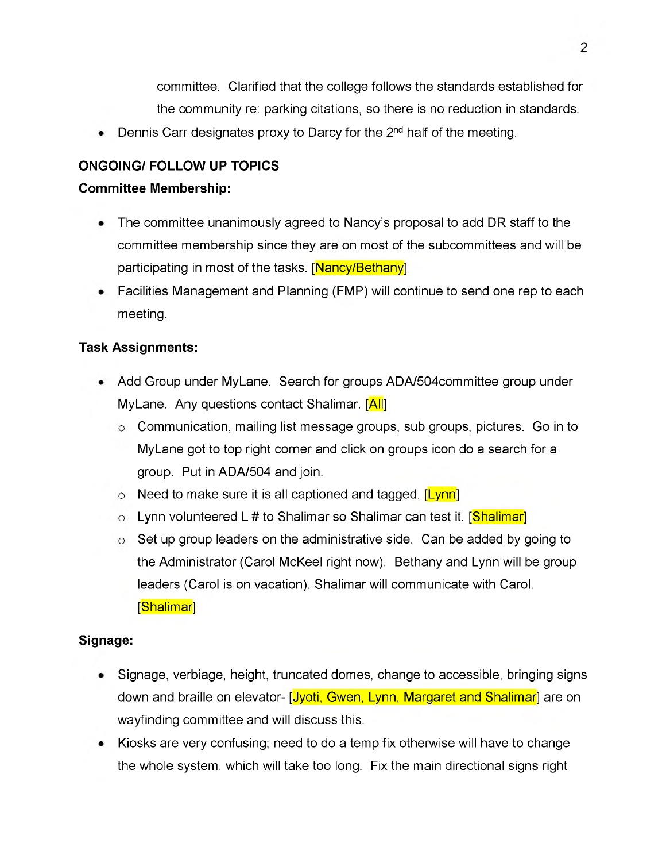committee. Clarified that the college follows the standards established for the community re: parking citations, so there is no reduction in standards.

Dennis Carr designates proxy to Darcy for the  $2<sup>nd</sup>$  half of the meeting.

# **ONGOING/ FOLLOW UP TOPICS**

#### **Committee Membership:**

- The committee unanimously agreed to Nancy's proposal to add DR staff to the ٠ committee membership since they are on most of the subcommittees and will be participating in most of the tasks. [Nancy/Bethany]
- Facilities Management and Planning (FMP) will continue to send one rep to each meeting.

## **Task Assignments:**

- Add Group under MyLane. Search for groups ADA/504committee group under MyLane. Any questions contact Shalimar. [All]
	- $\circ$  Communication, mailing list message groups, sub groups, pictures. Go in to MyLane got to top right corner and click on groups icon do a search for a group. Put in ADA/504 and join.
	- $\circ$  Need to make sure it is all captioned and tagged. [Lynn]
	- o Lynn volunteered L # to Shalimar so Shalimar can test it. [<mark>Shalimar</mark>]
	- $\circ$  Set up group leaders on the administrative side. Can be added by going to the Administrator (Carol McKeel right now). Bethany and Lynn will be group leaders (Carol is on vacation). Shalimar will communicate with Carol. [Shalimar]

# **Signage:**

- Signage, verbiage, height, truncated domes, change to accessible, bringing signs down and braille on elevator- [Jyoti, Gwen, Lynn, Margaret and Shalimar] are on wayfinding committee and will discuss this.
- Kiosks are very confusing; need to do a temp fix otherwise will have to change the whole system, which will take too long. Fix the main directional signs right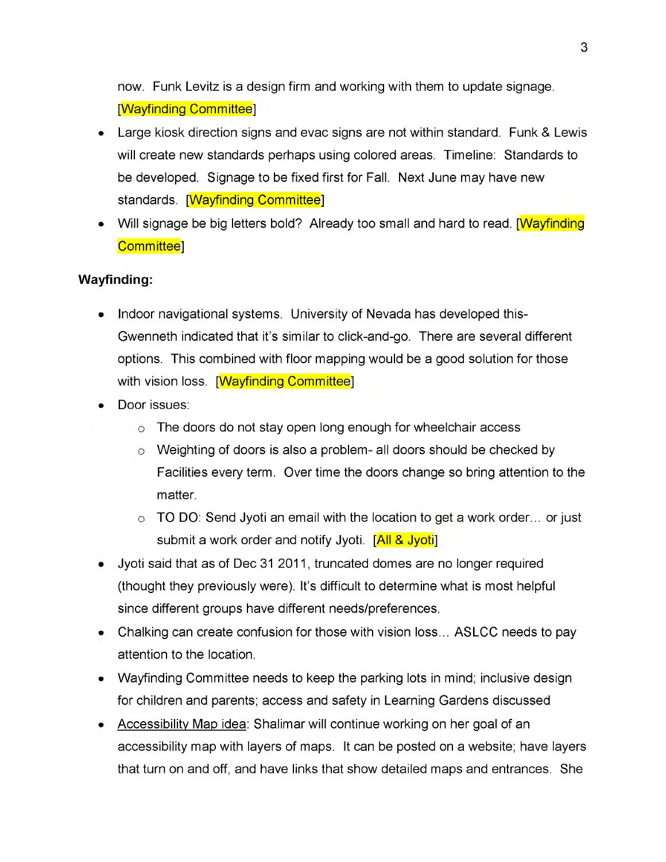now. Funk Levitz is a design firm and working with them to update signage. [Wayfinding Committee]

- Large kiosk direction signs and evac signs are not within standard. Funk & Lewis will create new standards perhaps using colored areas. Timeline: Standards to be developed. Signage to be fixed first for Fall. Next June may have new standards. [Wayfinding Committee]
- Will signage be big letters bold? Already too small and hard to read. **[Wayfinding**] Committee]

## **Wayfinding:**

- Indoor navigational systems. University of Nevada has developed this-Gwenneth indicated that it's similar to click-and-go. There are several different options. This combined with floor mapping would be a good solution for those with vision loss. [Wayfinding Committee]
- Door issues:
	- o The doors do not stay open long enough for wheelchair access
	- Weighting of doors is also a problem- all doors should be checked by Facilities every term. Over time the doors change so bring attention to the matter.
	- TO DO: Send Jyoti an email with the location to get a work order... or just submit a work order and notify Jyoti. [All & Jyoti]
- Jyoti said that as of Dec 31 2011, truncated domes are no longer required (thought they previously were). It's difficult to determine what is most helpful since different groups have different needs/preferences.
- Chalking can create confusion for those with vision loss... ASLCC needs to pay attention to the location.
- Wayfinding Committee needs to keep the parking lots in mind; inclusive design for children and parents; access and safety in Learning Gardens discussed
- Accessibility Map idea: Shalimar will continue working on her goal of an accessibility map with layers of maps. It can be posted on a website; have layers that turn on and off, and have links that show detailed maps and entrances. She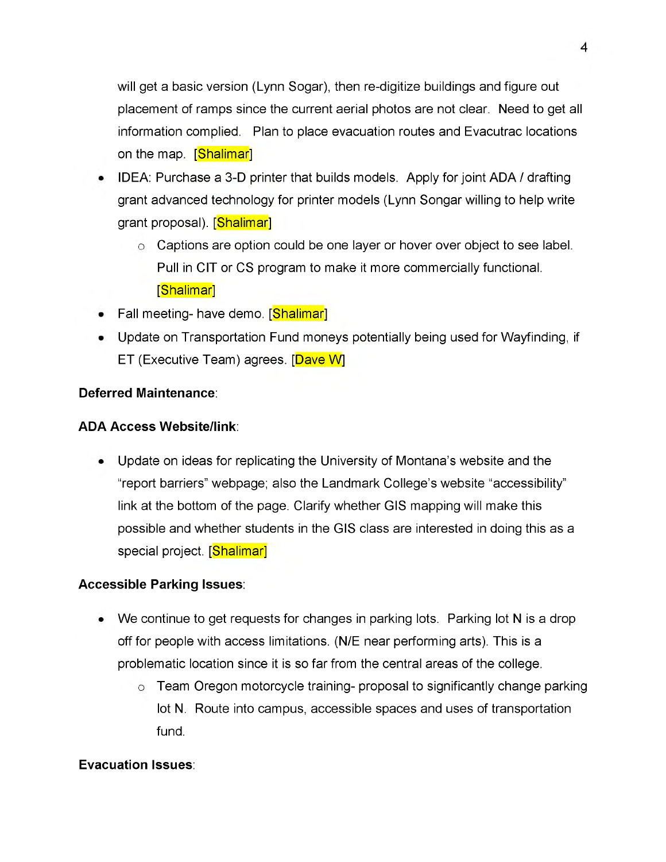will get a basic version (Lynn Sogar), then re-digitize buildings and figure out placement of ramps since the current aerial photos are not clear. Need to get all information complied. Plan to place evacuation routes and Evacutrac locations on the map. [Shalimar]

- IDEA: Purchase a 3-D printer that builds models. Apply for joint ADA / drafting grant advanced technology for printer models (Lynn Songar willing to help write grant proposal). [Shalimar]
	- $\circ$  Captions are option could be one layer or hover over object to see label. Pull in CIT or CS program to make it more commercially functional. [Shalimar]
- Fall meeting- have demo. [Shalimar]
- Update on Transportation Fund moneys potentially being used for Wayfinding, if ET (Executive Team) agrees. [Dave W]

# **Deferred Maintenance**:

#### **ADA Access Website/link**:

Update on ideas for replicating the University of Montana's website and the "report barriers" webpage; also the Landmark College's website "accessibility" link at the bottom of the page. Clarify whether GIS mapping will make this possible and whether students in the GIS class are interested in doing this as a special project. [Shalimar]

#### **Accessible Parking Issues**:

- We continue to get requests for changes in parking lots. Parking lot N is a drop off for people with access limitations. (N/E near performing arts). This is a problematic location since it is so far from the central areas of the college.
	- Team Oregon motorcycle training- proposal to significantly change parking lot N. Route into campus, accessible spaces and uses of transportation fund.

#### **Evacuation Issues**: